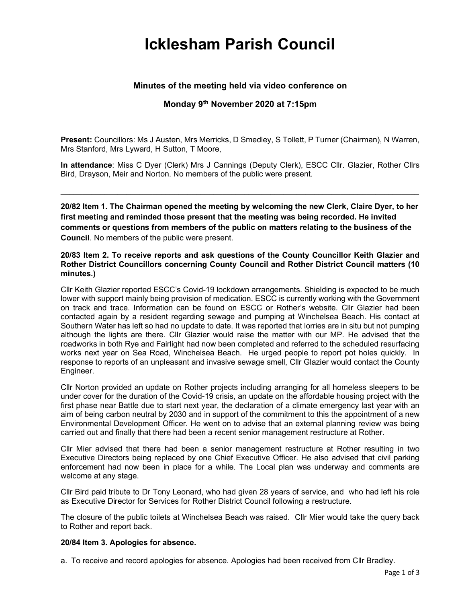# Icklesham Parish Council

# Minutes of the meeting held via video conference on

## Monday 9th November 2020 at 7:15pm

Present: Councillors: Ms J Austen, Mrs Merricks, D Smedley, S Tollett, P Turner (Chairman), N Warren, Mrs Stanford, Mrs Lyward, H Sutton, T Moore,

In attendance: Miss C Dyer (Clerk) Mrs J Cannings (Deputy Clerk), ESCC Cllr. Glazier, Rother Cllrs Bird, Drayson, Meir and Norton. No members of the public were present.

\_\_\_\_\_\_\_\_\_\_\_\_\_\_\_\_\_\_\_\_\_\_\_\_\_\_\_\_\_\_\_\_\_\_\_\_\_\_\_\_\_\_\_\_\_\_\_\_\_\_\_\_\_\_\_\_\_\_\_\_\_\_\_\_\_\_\_\_\_\_\_\_\_\_\_\_\_\_\_\_\_\_

20/82 Item 1. The Chairman opened the meeting by welcoming the new Clerk, Claire Dyer, to her first meeting and reminded those present that the meeting was being recorded. He invited comments or questions from members of the public on matters relating to the business of the Council. No members of the public were present.

#### 20/83 Item 2. To receive reports and ask questions of the County Councillor Keith Glazier and Rother District Councillors concerning County Council and Rother District Council matters (10 minutes.)

Cllr Keith Glazier reported ESCC's Covid-19 lockdown arrangements. Shielding is expected to be much lower with support mainly being provision of medication. ESCC is currently working with the Government on track and trace. Information can be found on ESCC or Rother's website. Cllr Glazier had been contacted again by a resident regarding sewage and pumping at Winchelsea Beach. His contact at Southern Water has left so had no update to date. It was reported that lorries are in situ but not pumping although the lights are there. Cllr Glazier would raise the matter with our MP. He advised that the roadworks in both Rye and Fairlight had now been completed and referred to the scheduled resurfacing works next year on Sea Road, Winchelsea Beach. He urged people to report pot holes quickly. In response to reports of an unpleasant and invasive sewage smell, Cllr Glazier would contact the County Engineer.

Cllr Norton provided an update on Rother projects including arranging for all homeless sleepers to be under cover for the duration of the Covid-19 crisis, an update on the affordable housing project with the first phase near Battle due to start next year, the declaration of a climate emergency last year with an aim of being carbon neutral by 2030 and in support of the commitment to this the appointment of a new Environmental Development Officer. He went on to advise that an external planning review was being carried out and finally that there had been a recent senior management restructure at Rother.

Cllr Mier advised that there had been a senior management restructure at Rother resulting in two Executive Directors being replaced by one Chief Executive Officer. He also advised that civil parking enforcement had now been in place for a while. The Local plan was underway and comments are welcome at any stage.

Cllr Bird paid tribute to Dr Tony Leonard, who had given 28 years of service, and who had left his role as Executive Director for Services for Rother District Council following a restructure.

The closure of the public toilets at Winchelsea Beach was raised. Cllr Mier would take the query back to Rother and report back.

## 20/84 Item 3. Apologies for absence.

a. To receive and record apologies for absence. Apologies had been received from Cllr Bradley.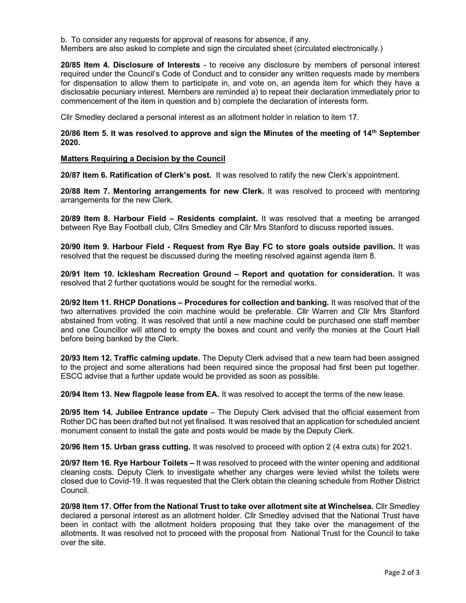b. To consider any requests for approval of reasons for absence, if any.

Members are also asked to complete and sign the circulated sheet (circulated electronically.)

20/85 Item 4. Disclosure of Interests - to receive any disclosure by members of personal interest required under the Council's Code of Conduct and to consider any written requests made by members for dispensation to allow them to participate in, and vote on, an agenda item for which they have a disclosable pecuniary interest. Members are reminded a) to repeat their declaration immediately prior to commencement of the item in question and b) complete the declaration of interests form.

Cllr Smedley declared a personal interest as an allotment holder in relation to item 17.

### 20/86 Item 5. It was resolved to approve and sign the Minutes of the meeting of  $14<sup>th</sup>$  September 2020.

#### Matters Requiring a Decision by the Council

20/87 Item 6. Ratification of Clerk's post. It was resolved to ratify the new Clerk's appointment.

20/88 Item 7. Mentoring arrangements for new Clerk. It was resolved to proceed with mentoring arrangements for the new Clerk.

20/89 Item 8. Harbour Field – Residents complaint. It was resolved that a meeting be arranged between Rye Bay Football club, Cllrs Smedley and Cllr Mrs Stanford to discuss reported issues.

20/90 Item 9. Harbour Field - Request from Rye Bay FC to store goals outside pavilion. It was resolved that the request be discussed during the meeting resolved against agenda item 8.

20/91 Item 10. Icklesham Recreation Ground – Report and quotation for consideration. It was resolved that 2 further quotations would be sought for the remedial works.

20/92 Item 11. RHCP Donations – Procedures for collection and banking. It was resolved that of the two alternatives provided the coin machine would be preferable. Cllr Warren and Cllr Mrs Stanford abstained from voting. It was resolved that until a new machine could be purchased one staff member and one Councillor will attend to empty the boxes and count and verify the monies at the Court Hall before being banked by the Clerk.

20/93 Item 12. Traffic calming update. The Deputy Clerk advised that a new team had been assigned to the project and some alterations had been required since the proposal had first been put together. ESCC advise that a further update would be provided as soon as possible.

20/94 Item 13. New flagpole lease from EA. It was resolved to accept the terms of the new lease.

20/95 Item 14. Jubilee Entrance update – The Deputy Clerk advised that the official easement from Rother DC has been drafted but not yet finalised. It was resolved that an application for scheduled ancient monument consent to install the gate and posts would be made by the Deputy Clerk.

20/96 Item 15. Urban grass cutting. It was resolved to proceed with option 2 (4 extra cuts) for 2021.

20/97 Item 16. Rye Harbour Toilets – It was resolved to proceed with the winter opening and additional cleaning costs. Deputy Clerk to investigate whether any charges were levied whilst the toilets were closed due to Covid-19. It was requested that the Clerk obtain the cleaning schedule from Rother District Council.

20/98 Item 17. Offer from the National Trust to take over allotment site at Winchelsea. Cllr Smedley declared a personal interest as an allotment holder. Cllr Smedley advised that the National Trust have been in contact with the allotment holders proposing that they take over the management of the allotments. It was resolved not to proceed with the proposal from National Trust for the Council to take over the site.